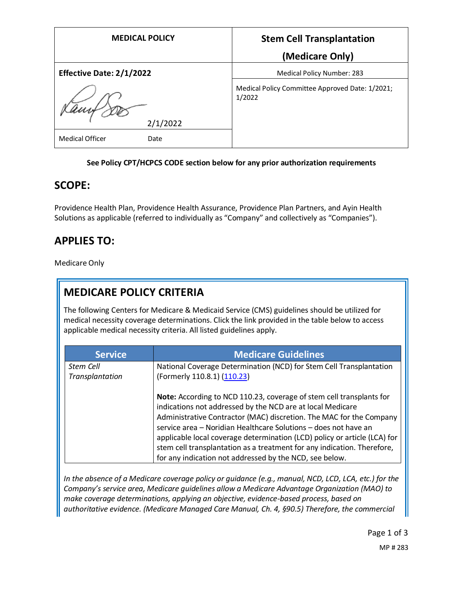| <b>MEDICAL POLICY</b>          | <b>Stem Cell Transplantation</b>                          |
|--------------------------------|-----------------------------------------------------------|
|                                | (Medicare Only)                                           |
| Effective Date: 2/1/2022       | Medical Policy Number: 283                                |
|                                | Medical Policy Committee Approved Date: 1/2021;<br>1/2022 |
| 2/1/2022                       |                                                           |
| <b>Medical Officer</b><br>Date |                                                           |

#### **See Policy CPT/HCPCS CODE section below for any prior authorization requirements**

#### **SCOPE:**

Providence Health Plan, Providence Health Assurance, Providence Plan Partners, and Ayin Health Solutions as applicable (referred to individually as "Company" and collectively as "Companies").

### **APPLIES TO:**

Medicare Only

## **MEDICARE POLICY CRITERIA**

The following Centers for Medicare & Medicaid Service (CMS) guidelines should be utilized for medical necessity coverage determinations. Click the link provided in the table below to access applicable medical necessity criteria. All listed guidelines apply.

| <b>Service</b>               | <b>Medicare Guidelines</b>                                                                                                                                                                                                                                                                                                                                                                                                                                                                      |
|------------------------------|-------------------------------------------------------------------------------------------------------------------------------------------------------------------------------------------------------------------------------------------------------------------------------------------------------------------------------------------------------------------------------------------------------------------------------------------------------------------------------------------------|
| Stem Cell<br>Transplantation | National Coverage Determination (NCD) for Stem Cell Transplantation<br>(Formerly 110.8.1) (110.23)                                                                                                                                                                                                                                                                                                                                                                                              |
|                              | Note: According to NCD 110.23, coverage of stem cell transplants for<br>indications not addressed by the NCD are at local Medicare<br>Administrative Contractor (MAC) discretion. The MAC for the Company<br>service area - Noridian Healthcare Solutions - does not have an<br>applicable local coverage determination (LCD) policy or article (LCA) for<br>stem cell transplantation as a treatment for any indication. Therefore,<br>for any indication not addressed by the NCD, see below. |

*In the absence of a Medicare coverage policy or guidance (e.g., manual, NCD, LCD, LCA, etc.) for the Company's service area, Medicare guidelines allow a Medicare Advantage Organization (MAO) to make coverage determinations, applying an objective, evidence-based process, based on authoritative evidence. (Medicare Managed Care Manual, Ch. 4, §90.5) Therefore, the commercial* 

> Page 1 of 3 MP # 283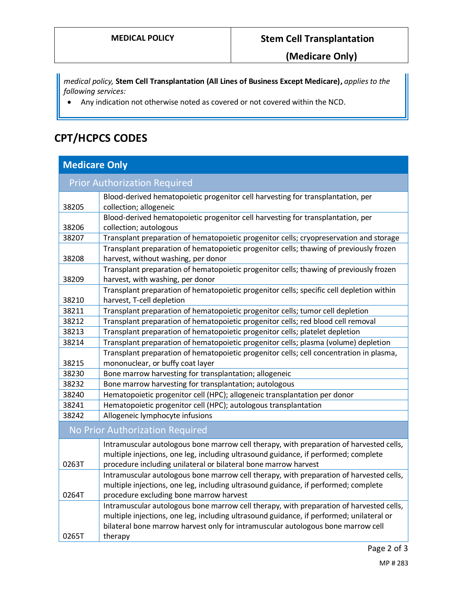**(Medicare Only)**

*medical policy,* **Stem Cell Transplantation (All Lines of Business Except Medicare),** *applies to the following services:*

• Any indication not otherwise noted as covered or not covered within the NCD.

# **CPT/HCPCS CODES**

| <b>Medicare Only</b>            |                                                                                          |  |
|---------------------------------|------------------------------------------------------------------------------------------|--|
|                                 | <b>Prior Authorization Required</b>                                                      |  |
|                                 | Blood-derived hematopoietic progenitor cell harvesting for transplantation, per          |  |
| 38205                           | collection; allogeneic                                                                   |  |
|                                 | Blood-derived hematopoietic progenitor cell harvesting for transplantation, per          |  |
| 38206                           | collection; autologous                                                                   |  |
| 38207                           | Transplant preparation of hematopoietic progenitor cells; cryopreservation and storage   |  |
|                                 | Transplant preparation of hematopoietic progenitor cells; thawing of previously frozen   |  |
| 38208                           | harvest, without washing, per donor                                                      |  |
|                                 | Transplant preparation of hematopoietic progenitor cells; thawing of previously frozen   |  |
| 38209                           | harvest, with washing, per donor                                                         |  |
|                                 | Transplant preparation of hematopoietic progenitor cells; specific cell depletion within |  |
| 38210                           | harvest, T-cell depletion                                                                |  |
| 38211                           | Transplant preparation of hematopoietic progenitor cells; tumor cell depletion           |  |
| 38212                           | Transplant preparation of hematopoietic progenitor cells; red blood cell removal         |  |
| 38213                           | Transplant preparation of hematopoietic progenitor cells; platelet depletion             |  |
| 38214                           | Transplant preparation of hematopoietic progenitor cells; plasma (volume) depletion      |  |
|                                 | Transplant preparation of hematopoietic progenitor cells; cell concentration in plasma,  |  |
| 38215                           | mononuclear, or buffy coat layer                                                         |  |
| 38230                           | Bone marrow harvesting for transplantation; allogeneic                                   |  |
| 38232                           | Bone marrow harvesting for transplantation; autologous                                   |  |
| 38240                           | Hematopoietic progenitor cell (HPC); allogeneic transplantation per donor                |  |
| 38241                           | Hematopoietic progenitor cell (HPC); autologous transplantation                          |  |
| 38242                           | Allogeneic lymphocyte infusions                                                          |  |
| No Prior Authorization Required |                                                                                          |  |
|                                 | Intramuscular autologous bone marrow cell therapy, with preparation of harvested cells,  |  |
|                                 | multiple injections, one leg, including ultrasound guidance, if performed; complete      |  |
| 0263T                           | procedure including unilateral or bilateral bone marrow harvest                          |  |
|                                 | Intramuscular autologous bone marrow cell therapy, with preparation of harvested cells,  |  |
|                                 | multiple injections, one leg, including ultrasound guidance, if performed; complete      |  |
| 0264T                           | procedure excluding bone marrow harvest                                                  |  |
|                                 | Intramuscular autologous bone marrow cell therapy, with preparation of harvested cells,  |  |
|                                 | multiple injections, one leg, including ultrasound guidance, if performed; unilateral or |  |
|                                 | bilateral bone marrow harvest only for intramuscular autologous bone marrow cell         |  |
| 0265T                           | therapy                                                                                  |  |